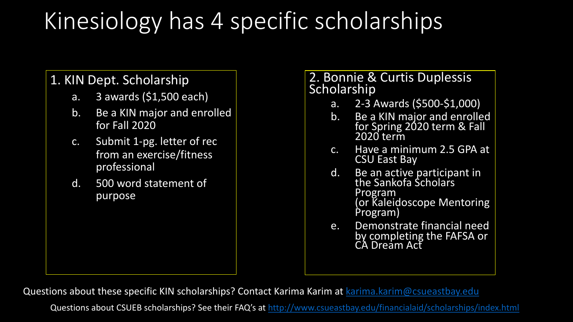# Kinesiology has 4 specific schol

Questions about these specific KIN scholarships? Contact Karima Karim at karin

Questions about CSUEB scholarships? See their FAQ's at http://www.csueastbay.edu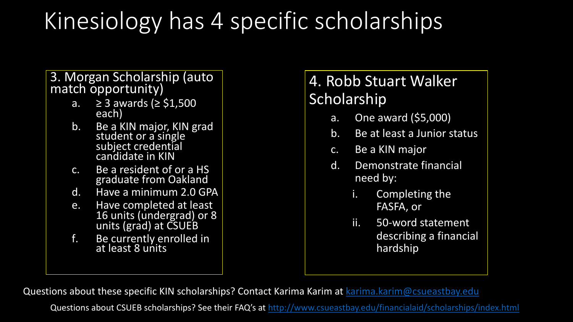# Kinesiology has 4 specific schol

Questions about these specific KIN scholarships? Contact Karima Karim at karin

Questions about CSUEB scholarships? See their FAQ's at http://www.csueastbay.edu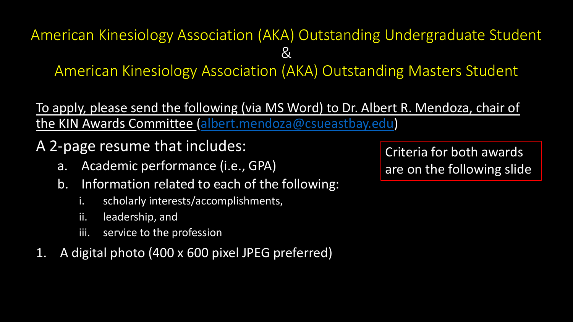### American Kinesiology Association (AKA) Outstandi  $8<sub>k</sub>$ American Kinesiology Association (AKA) Outsta

#### To apply, please send the following (via MS Word) to Dr. A the KIN Awards Committee (albert.mendoza@csueastbay

A 2-page resume that includes:

- a. Academic performance (i.e., GPA)
- b. Information related to each of the following:
	- i. scholarly interests/accomplishments,
	- ii. leadership, and
	- iii. service to the profession
- 1. A digital photo (400 x 600 pixel JPEG preferred)